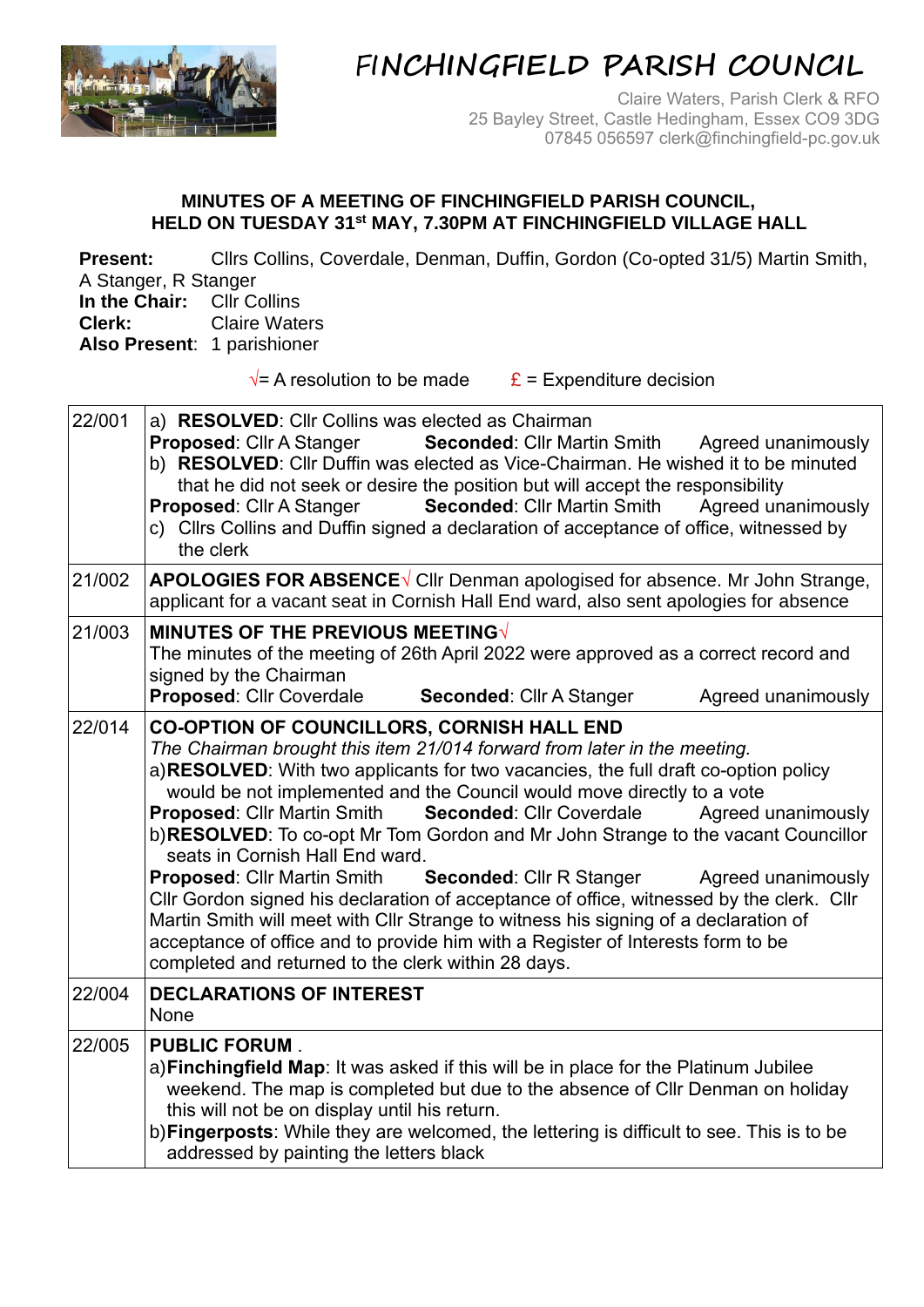

## FI**NCHINGFIELD PARISH COUNCIL**

Claire Waters, Parish Clerk & RFO 25 Bayley Street, Castle Hedingham, Essex CO9 3DG 07845 056597 clerk@finchingfield-pc.gov.uk

## **MINUTES OF A MEETING OF FINCHINGFIELD PARISH COUNCIL, HELD ON TUESDAY 31st MAY, 7.30PM AT FINCHINGFIELD VILLAGE HALL**

**Present:** Cllrs Collins, Coverdale, Denman, Duffin, Gordon (Co-opted 31/5) Martin Smith, A Stanger, R Stanger **In the Chair:** Cllr Collins **Clerk:** Claire Waters **Also Present**: 1 parishioner  $\sqrt{\ }$  A resolution to be made  $\frac{\mathbf{E}}{\mathbf{E}}$  = Expenditure decision 22/001 a) **RESOLVED**: Cllr Collins was elected as Chairman **Proposed:** Cllr A Stanger **Seconded:** Cllr Martin Smith Agreed unanimously b) **RESOLVED**: Cllr Duffin was elected as Vice-Chairman. He wished it to be minuted that he did not seek or desire the position but will accept the responsibility **Proposed:** Cllr A Stanger **Seconded:** Cllr Martin Smith Agreed unanimously c) Cllrs Collins and Duffin signed a declaration of acceptance of office, witnessed by the clerk 21/002 **APOLOGIES FOR ABSENCE**√ CIIr Denman apologised for absence. Mr John Strange, applicant for a vacant seat in Cornish Hall End ward, also sent apologies for absence 21/003 **MINUTES OF THE PREVIOUS MEETING√** The minutes of the meeting of 26th April 2022 were approved as a correct record and signed by the Chairman **Proposed:** Cllr Coverdale **Seconded:** Cllr A Stanger Agreed unanimously

22/014 **CO-OPTION OF COUNCILLORS, CORNISH HALL END** *The Chairman brought this item 21/014 forward from later in the meeting.* a)**RESOLVED**: With two applicants for two vacancies, the full draft co-option policy would be not implemented and the Council would move directly to a vote **Proposed:** Cllr Martin Smith **Seconded:** Cllr Coverdale Agreed unanimously b)**RESOLVED**: To co-opt Mr Tom Gordon and Mr John Strange to the vacant Councillor seats in Cornish Hall End ward. **Proposed:** Cllr Martin Smith **Seconded:** Cllr R Stanger Agreed unanimously Cllr Gordon signed his declaration of acceptance of office, witnessed by the clerk. Cllr Martin Smith will meet with Cllr Strange to witness his signing of a declaration of acceptance of office and to provide him with a Register of Interests form to be completed and returned to the clerk within 28 days. 22/004 **DECLARATIONS OF INTEREST**  None 22/005 **PUBLIC FORUM** . a)**Finchingfield Map**: It was asked if this will be in place for the Platinum Jubilee weekend. The map is completed but due to the absence of Cllr Denman on holiday this will not be on display until his return.

b)**Fingerposts**: While they are welcomed, the lettering is difficult to see. This is to be addressed by painting the letters black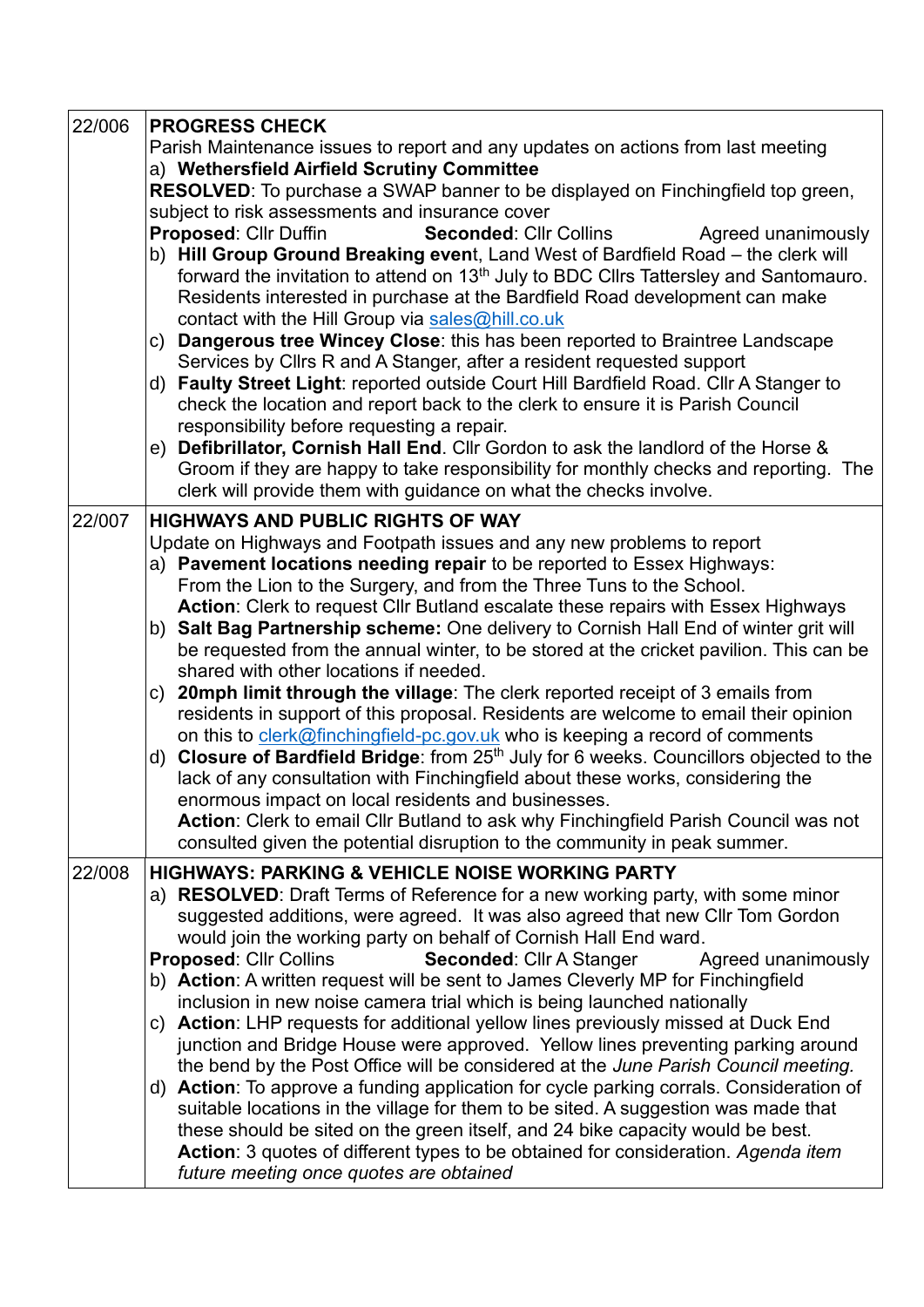| 22/006                                                               | <b>PROGRESS CHECK</b>                                                                                                                                                                  |  |  |  |  |  |  |
|----------------------------------------------------------------------|----------------------------------------------------------------------------------------------------------------------------------------------------------------------------------------|--|--|--|--|--|--|
|                                                                      | Parish Maintenance issues to report and any updates on actions from last meeting                                                                                                       |  |  |  |  |  |  |
|                                                                      | a) Wethersfield Airfield Scrutiny Committee                                                                                                                                            |  |  |  |  |  |  |
|                                                                      | RESOLVED: To purchase a SWAP banner to be displayed on Finchingfield top green,                                                                                                        |  |  |  |  |  |  |
|                                                                      | subject to risk assessments and insurance cover                                                                                                                                        |  |  |  |  |  |  |
|                                                                      | <b>Seconded: Cllr Collins</b><br>Proposed: Cllr Duffin<br>Agreed unanimously                                                                                                           |  |  |  |  |  |  |
|                                                                      | b) Hill Group Ground Breaking event, Land West of Bardfield Road - the clerk will                                                                                                      |  |  |  |  |  |  |
|                                                                      | forward the invitation to attend on 13 <sup>th</sup> July to BDC Cllrs Tattersley and Santomauro.                                                                                      |  |  |  |  |  |  |
|                                                                      | Residents interested in purchase at the Bardfield Road development can make                                                                                                            |  |  |  |  |  |  |
|                                                                      | contact with the Hill Group via sales@hill.co.uk                                                                                                                                       |  |  |  |  |  |  |
|                                                                      | c) Dangerous tree Wincey Close: this has been reported to Braintree Landscape<br>Services by Cllrs R and A Stanger, after a resident requested support                                 |  |  |  |  |  |  |
|                                                                      | d) Faulty Street Light: reported outside Court Hill Bardfield Road. Cllr A Stanger to                                                                                                  |  |  |  |  |  |  |
|                                                                      | check the location and report back to the clerk to ensure it is Parish Council                                                                                                         |  |  |  |  |  |  |
|                                                                      | responsibility before requesting a repair.                                                                                                                                             |  |  |  |  |  |  |
|                                                                      | e) Defibrillator, Cornish Hall End. Cllr Gordon to ask the landlord of the Horse &                                                                                                     |  |  |  |  |  |  |
|                                                                      | Groom if they are happy to take responsibility for monthly checks and reporting. The                                                                                                   |  |  |  |  |  |  |
|                                                                      | clerk will provide them with guidance on what the checks involve.                                                                                                                      |  |  |  |  |  |  |
| 22/007                                                               | <b>HIGHWAYS AND PUBLIC RIGHTS OF WAY</b>                                                                                                                                               |  |  |  |  |  |  |
|                                                                      | Update on Highways and Footpath issues and any new problems to report                                                                                                                  |  |  |  |  |  |  |
|                                                                      | a) Pavement locations needing repair to be reported to Essex Highways:                                                                                                                 |  |  |  |  |  |  |
|                                                                      | From the Lion to the Surgery, and from the Three Tuns to the School.                                                                                                                   |  |  |  |  |  |  |
|                                                                      | Action: Clerk to request Cllr Butland escalate these repairs with Essex Highways                                                                                                       |  |  |  |  |  |  |
|                                                                      | b) Salt Bag Partnership scheme: One delivery to Cornish Hall End of winter grit will                                                                                                   |  |  |  |  |  |  |
|                                                                      | be requested from the annual winter, to be stored at the cricket pavilion. This can be                                                                                                 |  |  |  |  |  |  |
|                                                                      | shared with other locations if needed.                                                                                                                                                 |  |  |  |  |  |  |
|                                                                      | c) 20mph limit through the village: The clerk reported receipt of 3 emails from                                                                                                        |  |  |  |  |  |  |
|                                                                      | residents in support of this proposal. Residents are welcome to email their opinion                                                                                                    |  |  |  |  |  |  |
|                                                                      | on this to clerk@finchingfield-pc.gov.uk who is keeping a record of comments<br>Closure of Bardfield Bridge: from 25 <sup>th</sup> July for 6 weeks. Councillors objected to the<br>d) |  |  |  |  |  |  |
|                                                                      | lack of any consultation with Finchingfield about these works, considering the                                                                                                         |  |  |  |  |  |  |
|                                                                      | enormous impact on local residents and businesses.                                                                                                                                     |  |  |  |  |  |  |
|                                                                      | Action: Clerk to email Cllr Butland to ask why Finchingfield Parish Council was not                                                                                                    |  |  |  |  |  |  |
|                                                                      | consulted given the potential disruption to the community in peak summer.                                                                                                              |  |  |  |  |  |  |
| <b>HIGHWAYS: PARKING &amp; VEHICLE NOISE WORKING PARTY</b><br>22/008 |                                                                                                                                                                                        |  |  |  |  |  |  |
|                                                                      | a) RESOLVED: Draft Terms of Reference for a new working party, with some minor                                                                                                         |  |  |  |  |  |  |
|                                                                      | suggested additions, were agreed. It was also agreed that new Cllr Tom Gordon                                                                                                          |  |  |  |  |  |  |
|                                                                      | would join the working party on behalf of Cornish Hall End ward.                                                                                                                       |  |  |  |  |  |  |
|                                                                      | Seconded: Cllr A Stanger<br>Agreed unanimously<br><b>Proposed: Cllr Collins</b>                                                                                                        |  |  |  |  |  |  |
|                                                                      | b) Action: A written request will be sent to James Cleverly MP for Finchingfield                                                                                                       |  |  |  |  |  |  |
|                                                                      | inclusion in new noise camera trial which is being launched nationally                                                                                                                 |  |  |  |  |  |  |
|                                                                      | Action: LHP requests for additional yellow lines previously missed at Duck End<br>C)                                                                                                   |  |  |  |  |  |  |
|                                                                      | junction and Bridge House were approved. Yellow lines preventing parking around                                                                                                        |  |  |  |  |  |  |
|                                                                      | the bend by the Post Office will be considered at the June Parish Council meeting.<br>d) Action: To approve a funding application for cycle parking corrals. Consideration of          |  |  |  |  |  |  |
|                                                                      | suitable locations in the village for them to be sited. A suggestion was made that                                                                                                     |  |  |  |  |  |  |
|                                                                      | these should be sited on the green itself, and 24 bike capacity would be best.                                                                                                         |  |  |  |  |  |  |
|                                                                      | Action: 3 quotes of different types to be obtained for consideration. Agenda item                                                                                                      |  |  |  |  |  |  |
|                                                                      | future meeting once quotes are obtained                                                                                                                                                |  |  |  |  |  |  |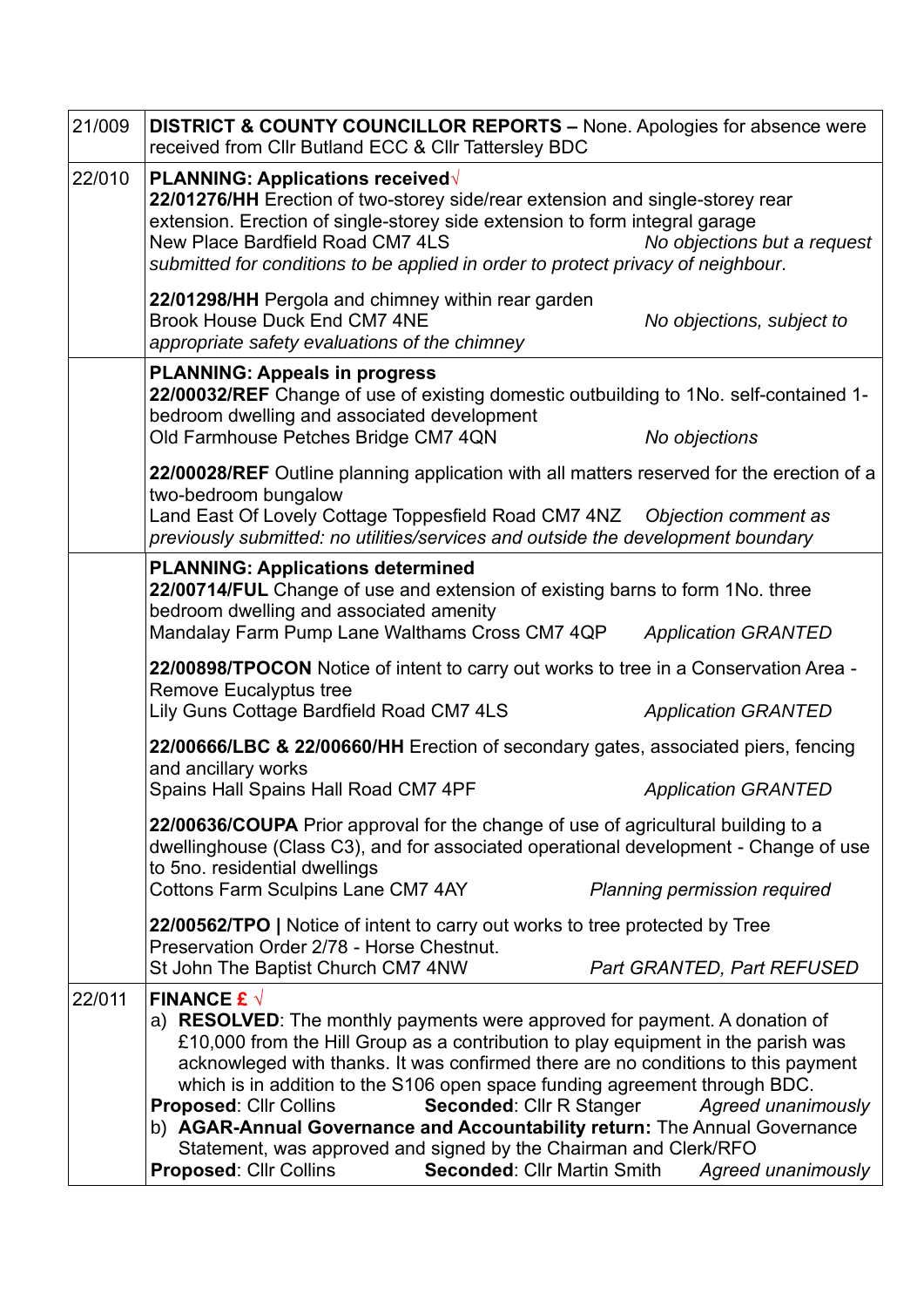| 21/009 | <b>DISTRICT &amp; COUNTY COUNCILLOR REPORTS – None. Apologies for absence were</b><br>received from Cllr Butland ECC & Cllr Tattersley BDC                                                                                                                                                                                                                                                                                                                                                                                                                                                                                                                                                            |  |  |  |  |
|--------|-------------------------------------------------------------------------------------------------------------------------------------------------------------------------------------------------------------------------------------------------------------------------------------------------------------------------------------------------------------------------------------------------------------------------------------------------------------------------------------------------------------------------------------------------------------------------------------------------------------------------------------------------------------------------------------------------------|--|--|--|--|
| 22/010 | PLANNING: Applications received√<br>22/01276/HH Erection of two-storey side/rear extension and single-storey rear<br>extension. Erection of single-storey side extension to form integral garage<br>New Place Bardfield Road CM7 4LS<br>No objections but a request<br>submitted for conditions to be applied in order to protect privacy of neighbour.                                                                                                                                                                                                                                                                                                                                               |  |  |  |  |
|        | 22/01298/HH Pergola and chimney within rear garden<br><b>Brook House Duck End CM7 4NE</b><br>No objections, subject to<br>appropriate safety evaluations of the chimney                                                                                                                                                                                                                                                                                                                                                                                                                                                                                                                               |  |  |  |  |
|        | <b>PLANNING: Appeals in progress</b><br>22/00032/REF Change of use of existing domestic outbuilding to 1No. self-contained 1-<br>bedroom dwelling and associated development<br>Old Farmhouse Petches Bridge CM7 4QN<br>No objections                                                                                                                                                                                                                                                                                                                                                                                                                                                                 |  |  |  |  |
|        | 22/00028/REF Outline planning application with all matters reserved for the erection of a<br>two-bedroom bungalow<br>Land East Of Lovely Cottage Toppesfield Road CM7 4NZ  Objection comment as<br>previously submitted: no utilities/services and outside the development boundary                                                                                                                                                                                                                                                                                                                                                                                                                   |  |  |  |  |
|        | <b>PLANNING: Applications determined</b><br>22/00714/FUL Change of use and extension of existing barns to form 1No. three<br>bedroom dwelling and associated amenity<br>Mandalay Farm Pump Lane Walthams Cross CM7 4QP<br><b>Application GRANTED</b>                                                                                                                                                                                                                                                                                                                                                                                                                                                  |  |  |  |  |
|        | 22/00898/TPOCON Notice of intent to carry out works to tree in a Conservation Area -<br><b>Remove Eucalyptus tree</b><br>Lily Guns Cottage Bardfield Road CM7 4LS<br><b>Application GRANTED</b>                                                                                                                                                                                                                                                                                                                                                                                                                                                                                                       |  |  |  |  |
|        | 22/00666/LBC & 22/00660/HH Erection of secondary gates, associated piers, fencing<br>and ancillary works<br>Spains Hall Spains Hall Road CM7 4PF<br><b>Application GRANTED</b>                                                                                                                                                                                                                                                                                                                                                                                                                                                                                                                        |  |  |  |  |
|        | 22/00636/COUPA Prior approval for the change of use of agricultural building to a<br>dwellinghouse (Class C3), and for associated operational development - Change of use<br>to 5no. residential dwellings<br><b>Cottons Farm Sculpins Lane CM7 4AY</b><br>Planning permission required                                                                                                                                                                                                                                                                                                                                                                                                               |  |  |  |  |
|        | 22/00562/TPO   Notice of intent to carry out works to tree protected by Tree<br>Preservation Order 2/78 - Horse Chestnut.<br>St John The Baptist Church CM7 4NW<br>Part GRANTED, Part REFUSED                                                                                                                                                                                                                                                                                                                                                                                                                                                                                                         |  |  |  |  |
| 22/011 | FINANCE £ $\sqrt{ }$<br>a) <b>RESOLVED</b> : The monthly payments were approved for payment. A donation of<br>£10,000 from the Hill Group as a contribution to play equipment in the parish was<br>acknowleged with thanks. It was confirmed there are no conditions to this payment<br>which is in addition to the S106 open space funding agreement through BDC.<br><b>Seconded:</b> Cllr R Stanger Agreed unanimously<br><b>Proposed: Cllr Collins</b><br>b) AGAR-Annual Governance and Accountability return: The Annual Governance<br>Statement, was approved and signed by the Chairman and Clerk/RFO<br><b>Proposed: Cllr Collins</b><br><b>Seconded: Cllr Martin Smith Agreed unanimously</b> |  |  |  |  |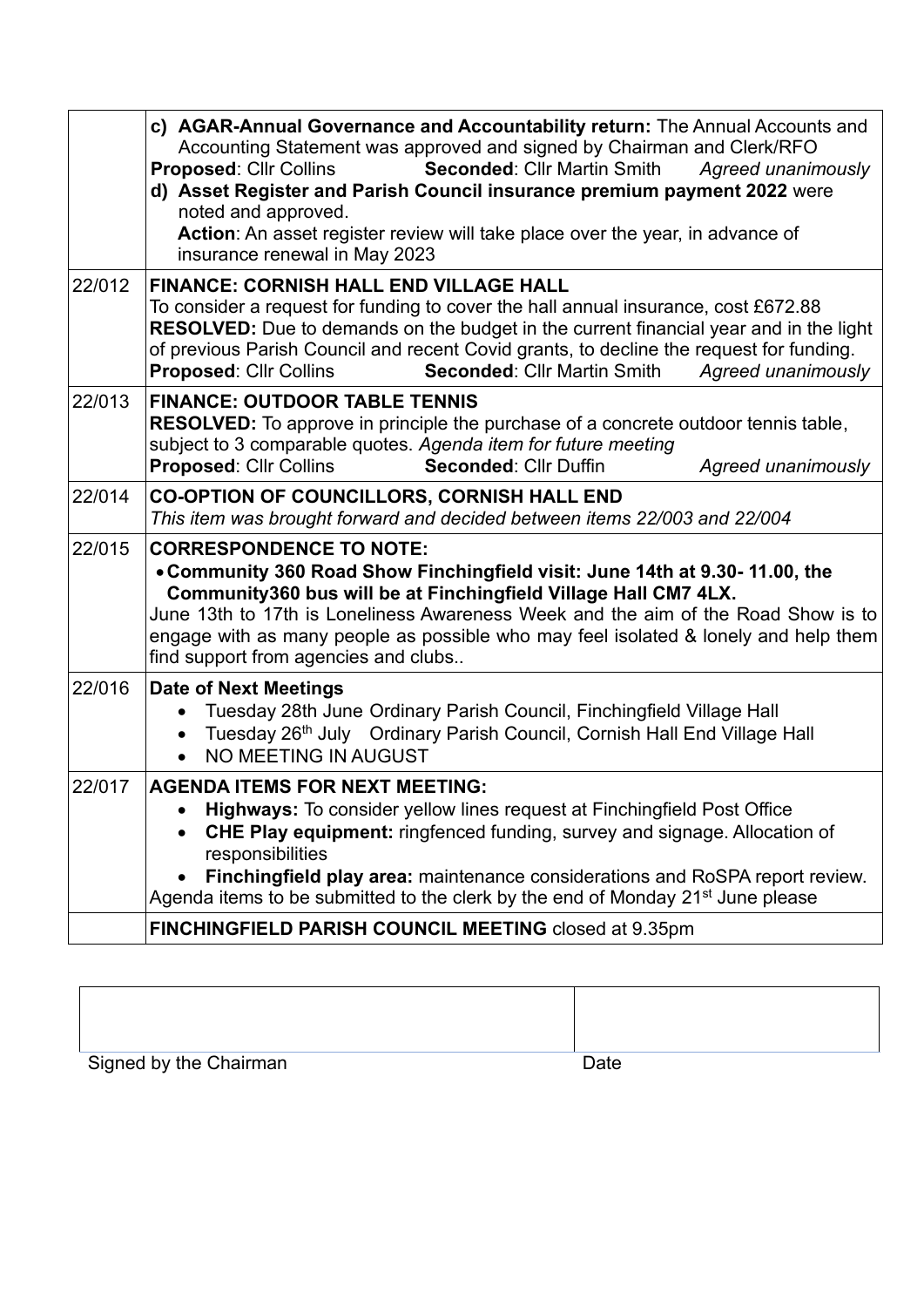|        | c) AGAR-Annual Governance and Accountability return: The Annual Accounts and<br>Accounting Statement was approved and signed by Chairman and Clerk/RFO<br>Seconded: Cllr Martin Smith<br><b>Proposed: Cllr Collins</b><br>Agreed unanimously<br>d) Asset Register and Parish Council insurance premium payment 2022 were<br>noted and approved.<br>Action: An asset register review will take place over the year, in advance of<br>insurance renewal in May 2023 |  |  |  |
|--------|-------------------------------------------------------------------------------------------------------------------------------------------------------------------------------------------------------------------------------------------------------------------------------------------------------------------------------------------------------------------------------------------------------------------------------------------------------------------|--|--|--|
| 22/012 | <b>FINANCE: CORNISH HALL END VILLAGE HALL</b><br>To consider a request for funding to cover the hall annual insurance, cost £672.88<br>RESOLVED: Due to demands on the budget in the current financial year and in the light<br>of previous Parish Council and recent Covid grants, to decline the request for funding.<br><b>Proposed: Cllr Collins</b><br><b>Seconded: Cllr Martin Smith</b><br>Agreed unanimously                                              |  |  |  |
| 22/013 | <b>FINANCE: OUTDOOR TABLE TENNIS</b><br><b>RESOLVED:</b> To approve in principle the purchase of a concrete outdoor tennis table,<br>subject to 3 comparable quotes. Agenda item for future meeting<br><b>Proposed: Cllr Collins</b><br><b>Seconded: Cllr Duffin</b><br>Agreed unanimously                                                                                                                                                                        |  |  |  |
| 22/014 | <b>CO-OPTION OF COUNCILLORS, CORNISH HALL END</b><br>This item was brought forward and decided between items 22/003 and 22/004                                                                                                                                                                                                                                                                                                                                    |  |  |  |
| 22/015 | <b>CORRESPONDENCE TO NOTE:</b><br>. Community 360 Road Show Finchingfield visit: June 14th at 9.30-11.00, the<br>Community360 bus will be at Finchingfield Village Hall CM7 4LX.<br>June 13th to 17th is Loneliness Awareness Week and the aim of the Road Show is to<br>engage with as many people as possible who may feel isolated & lonely and help them<br>find support from agencies and clubs                                                              |  |  |  |
| 22/016 | <b>Date of Next Meetings</b><br>Tuesday 28th June Ordinary Parish Council, Finchingfield Village Hall<br>$\bullet$<br>Tuesday 26th July Ordinary Parish Council, Cornish Hall End Village Hall<br>$\bullet$<br>NO MEETING IN AUGUST<br>$\bullet$                                                                                                                                                                                                                  |  |  |  |
| 22/017 | <b>AGENDA ITEMS FOR NEXT MEETING:</b><br>Highways: To consider yellow lines request at Finchingfield Post Office<br><b>CHE Play equipment:</b> ringfenced funding, survey and signage. Allocation of<br>responsibilities<br>Finchingfield play area: maintenance considerations and RoSPA report review.<br>Agenda items to be submitted to the clerk by the end of Monday 21 <sup>st</sup> June please                                                           |  |  |  |
|        | FINCHINGFIELD PARISH COUNCIL MEETING closed at 9.35pm                                                                                                                                                                                                                                                                                                                                                                                                             |  |  |  |

| Signed by the Chairman | Date |
|------------------------|------|